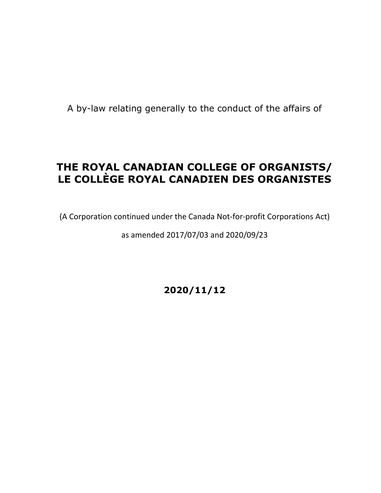A by-law relating generally to the conduct of the affairs of

# **THE ROYAL CANADIAN COLLEGE OF ORGANISTS/ LE COLLÈGE ROYAL CANADIEN DES ORGANISTES**

(A Corporation continued under the Canada Not-for-profit Corporations Act)

as amended 2017/07/03 and 2020/09/23

**2020/11/12**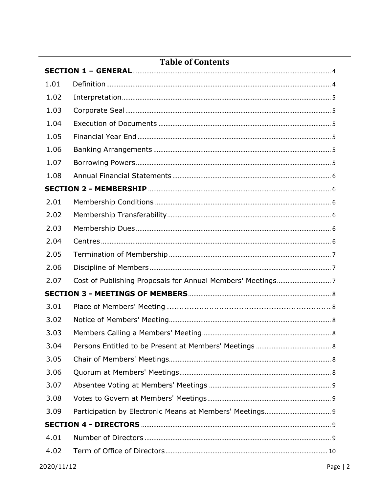| Table of Contents |  |  |  |
|-------------------|--|--|--|
| 1.01              |  |  |  |
| 1.02              |  |  |  |
| 1.03              |  |  |  |
| 1.04              |  |  |  |
| 1.05              |  |  |  |
| 1.06              |  |  |  |
| 1.07              |  |  |  |
| 1.08              |  |  |  |
|                   |  |  |  |
| 2.01              |  |  |  |
| 2.02              |  |  |  |
| 2.03              |  |  |  |
| 2.04              |  |  |  |
| 2.05              |  |  |  |
| 2.06              |  |  |  |
| 2.07              |  |  |  |
|                   |  |  |  |
| 3.01              |  |  |  |
| 3.02              |  |  |  |
| 3.03              |  |  |  |
| 3.04              |  |  |  |
| 3.05              |  |  |  |
| 3.06              |  |  |  |
| 3.07              |  |  |  |
| 3.08              |  |  |  |
| 3.09              |  |  |  |
|                   |  |  |  |
| 4.01              |  |  |  |
| 4.02              |  |  |  |
|                   |  |  |  |

## Table of Contents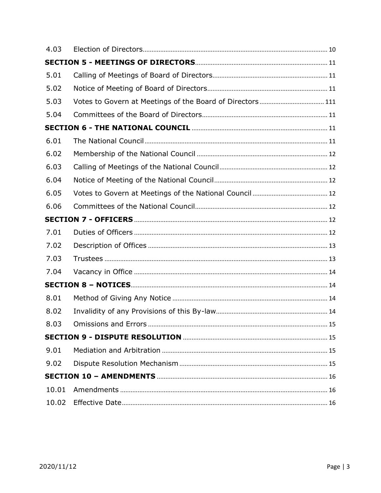| 4.03  |  |
|-------|--|
|       |  |
| 5.01  |  |
| 5.02  |  |
| 5.03  |  |
| 5.04  |  |
|       |  |
| 6.01  |  |
| 6.02  |  |
| 6.03  |  |
| 6.04  |  |
| 6.05  |  |
| 6.06  |  |
|       |  |
| 7.01  |  |
| 7.02  |  |
| 7.03  |  |
| 7.04  |  |
|       |  |
| 8.01  |  |
| 8.02  |  |
| 8.03  |  |
|       |  |
| 9.01  |  |
| 9.02  |  |
|       |  |
| 10.01 |  |
| 10.02 |  |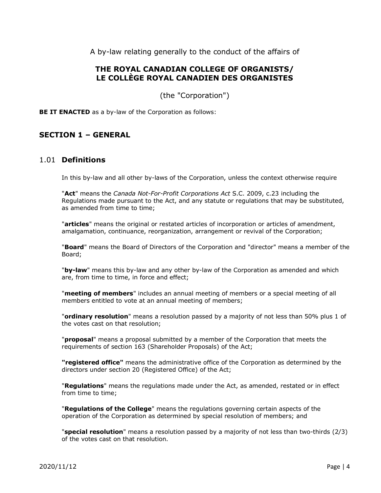A by-law relating generally to the conduct of the affairs of

## **THE ROYAL CANADIAN COLLEGE OF ORGANISTS/ LE COLLÈGE ROYAL CANADIEN DES ORGANISTES**

(the "Corporation")

**BE IT ENACTED** as a by-law of the Corporation as follows:

## <span id="page-3-1"></span><span id="page-3-0"></span>**SECTION 1 – GENERAL**

#### 1.01 **Definitions**

In this by-law and all other by-laws of the Corporation, unless the context otherwise require

"**Act**" means the *Canada Not-For-Profit Corporations Act* S.C. 2009, c.23 including the Regulations made pursuant to the Act, and any statute or regulations that may be substituted, as amended from time to time;

"**articles**" means the original or restated articles of incorporation or articles of amendment, amalgamation, continuance, reorganization, arrangement or revival of the Corporation;

"**Board**" means the Board of Directors of the Corporation and "director" means a member of the Board;

"**by-law**" means this by-law and any other by-law of the Corporation as amended and which are, from time to time, in force and effect;

"**meeting of members**" includes an annual meeting of members or a special meeting of all members entitled to vote at an annual meeting of members;

"**ordinary resolution**" means a resolution passed by a majority of not less than 50% plus 1 of the votes cast on that resolution;

"**proposal**" means a proposal submitted by a member of the Corporation that meets the requirements of section 163 (Shareholder Proposals) of the Act;

**"registered office"** means the administrative office of the Corporation as determined by the directors under section 20 (Registered Office) of the Act;

"**Regulations**" means the regulations made under the Act, as amended, restated or in effect from time to time;

"**Regulations of the College**" means the regulations governing certain aspects of the operation of the Corporation as determined by special resolution of members; and

"**special resolution**" means a resolution passed by a majority of not less than two-thirds (2/3) of the votes cast on that resolution.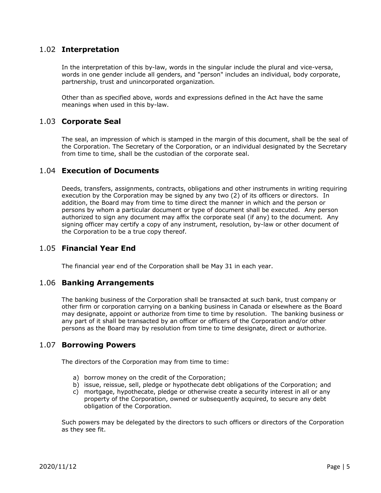#### <span id="page-4-0"></span>1.02 **Interpretation**

In the interpretation of this by-law, words in the singular include the plural and vice-versa, words in one gender include all genders, and "person" includes an individual, body corporate, partnership, trust and unincorporated organization.

Other than as specified above, words and expressions defined in the Act have the same meanings when used in this by-law.

#### <span id="page-4-1"></span>1.03 **Corporate Seal**

The seal, an impression of which is stamped in the margin of this document, shall be the seal of the Corporation. The Secretary of the Corporation, or an individual designated by the Secretary from time to time, shall be the custodian of the corporate seal.

#### <span id="page-4-2"></span>1.04 **Execution of Documents**

Deeds, transfers, assignments, contracts, obligations and other instruments in writing requiring execution by the Corporation may be signed by any two (2) of its officers or directors. In addition, the Board may from time to time direct the manner in which and the person or persons by whom a particular document or type of document shall be executed. Any person authorized to sign any document may affix the corporate seal (if any) to the document. Any signing officer may certify a copy of any instrument, resolution, by-law or other document of the Corporation to be a true copy thereof.

#### <span id="page-4-3"></span>1.05 **Financial Year End**

The financial year end of the Corporation shall be May 31 in each year.

#### <span id="page-4-4"></span>1.06 **Banking Arrangements**

The banking business of the Corporation shall be transacted at such bank, trust company or other firm or corporation carrying on a banking business in Canada or elsewhere as the Board may designate, appoint or authorize from time to time by resolution. The banking business or any part of it shall be transacted by an officer or officers of the Corporation and/or other persons as the Board may by resolution from time to time designate, direct or authorize.

#### <span id="page-4-5"></span>1.07 **Borrowing Powers**

The directors of the Corporation may from time to time:

- a) borrow money on the credit of the Corporation;
- b) issue, reissue, sell, pledge or hypothecate debt obligations of the Corporation; and
- c) mortgage, hypothecate, pledge or otherwise create a security interest in all or any property of the Corporation, owned or subsequently acquired, to secure any debt obligation of the Corporation.

Such powers may be delegated by the directors to such officers or directors of the Corporation as they see fit.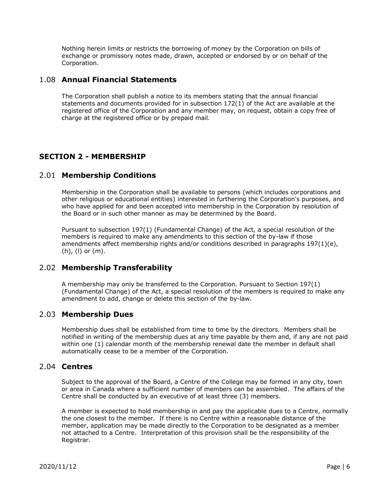Nothing herein limits or restricts the borrowing of money by the Corporation on bills of exchange or promissory notes made, drawn, accepted or endorsed by or on behalf of the Corporation.

#### <span id="page-5-0"></span>1.08 **Annual Financial Statements**

The Corporation shall publish a notice to its members stating that the annual financial statements and documents provided for in subsection 172(1) of the Act are available at the registered office of the Corporation and any member may, on request, obtain a copy free of charge at the registered office or by prepaid mail.

## <span id="page-5-1"></span>**SECTION 2 - MEMBERSHIP**

#### <span id="page-5-2"></span>2.01 **Membership Conditions**

Membership in the Corporation shall be available to persons (which includes corporations and other religious or educational entities) interested in furthering the Corporation's purposes, and who have applied for and been accepted into membership in the Corporation by resolution of the Board or in such other manner as may be determined by the Board.

Pursuant to subsection 197(1) (Fundamental Change) of the Act, a special resolution of the members is required to make any amendments to this section of the by-law if those amendments affect membership rights and/or conditions described in paragraphs  $197(1)(e)$ , (h), (l) or (m).

#### <span id="page-5-3"></span>2.02 **Membership Transferability**

A membership may only be transferred to the Corporation. Pursuant to Section 197(1) (Fundamental Change) of the Act, a special resolution of the members is required to make any amendment to add, change or delete this section of the by-law.

#### <span id="page-5-4"></span>2.03 **Membership Dues**

Membership dues shall be established from time to time by the directors. Members shall be notified in writing of the membership dues at any time payable by them and, if any are not paid within one (1) calendar month of the membership renewal date the member in default shall automatically cease to be a member of the Corporation.

#### <span id="page-5-5"></span>2.04 **Centres**

Subject to the approval of the Board, a Centre of the College may be formed in any city, town or area in Canada where a sufficient number of members can be assembled. The affairs of the Centre shall be conducted by an executive of at least three (3) members.

A member is expected to hold membership in and pay the applicable dues to a Centre, normally the one closest to the member. If there is no Centre within a reasonable distance of the member, application may be made directly to the Corporation to be designated as a member not attached to a Centre. Interpretation of this provision shall be the responsibility of the Registrar.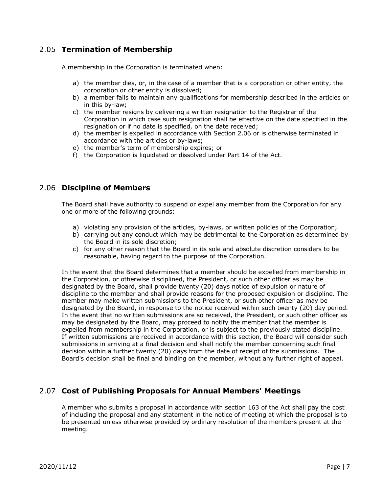## <span id="page-6-0"></span>2.05 **Termination of Membership**

A membership in the Corporation is terminated when:

- a) the member dies, or, in the case of a member that is a corporation or other entity, the corporation or other entity is dissolved;
- b) a member fails to maintain any qualifications for membership described in the articles or in this by-law;
- c) the member resigns by delivering a written resignation to the Registrar of the Corporation in which case such resignation shall be effective on the date specified in the resignation or if no date is specified, on the date received;
- d) the member is expelled in accordance with Section 2.06 or is otherwise terminated in accordance with the articles or by-laws;
- e) the member's term of membership expires; or
- f) the Corporation is liquidated or dissolved under Part 14 of the Act.

#### <span id="page-6-1"></span>2.06 **Discipline of Members**

The Board shall have authority to suspend or expel any member from the Corporation for any one or more of the following grounds:

- a) violating any provision of the articles, by-laws, or written policies of the Corporation;
- b) carrying out any conduct which may be detrimental to the Corporation as determined by the Board in its sole discretion;
- c) for any other reason that the Board in its sole and absolute discretion considers to be reasonable, having regard to the purpose of the Corporation.

In the event that the Board determines that a member should be expelled from membership in the Corporation, or otherwise disciplined, the President, or such other officer as may be designated by the Board, shall provide twenty (20) days notice of expulsion or nature of discipline to the member and shall provide reasons for the proposed expulsion or discipline. The member may make written submissions to the President, or such other officer as may be designated by the Board, in response to the notice received within such twenty (20) day period. In the event that no written submissions are so received, the President, or such other officer as may be designated by the Board, may proceed to notify the member that the member is expelled from membership in the Corporation, or is subject to the previously stated discipline. If written submissions are received in accordance with this section, the Board will consider such submissions in arriving at a final decision and shall notify the member concerning such final decision within a further twenty (20) days from the date of receipt of the submissions. The Board's decision shall be final and binding on the member, without any further right of appeal.

#### <span id="page-6-2"></span>2.07 **Cost of Publishing Proposals for Annual Members' Meetings**

A member who submits a proposal in accordance with section 163 of the Act shall pay the cost of including the proposal and any statement in the notice of meeting at which the proposal is to be presented unless otherwise provided by ordinary resolution of the members present at the meeting.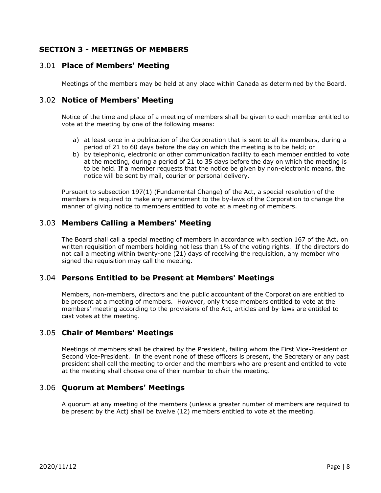## <span id="page-7-0"></span>**SECTION 3 - MEETINGS OF MEMBERS**

#### <span id="page-7-1"></span>3.01 **Place of Members' Meeting**

Meetings of the members may be held at any place within Canada as determined by the Board.

#### <span id="page-7-2"></span>3.02 **Notice of Members' Meeting**

Notice of the time and place of a meeting of members shall be given to each member entitled to vote at the meeting by one of the following means:

- a) at least once in a publication of the Corporation that is sent to all its members, during a period of 21 to 60 days before the day on which the meeting is to be held; or
- b) by telephonic, electronic or other communication facility to each member entitled to vote at the meeting, during a period of 21 to 35 days before the day on which the meeting is to be held. If a member requests that the notice be given by non-electronic means, the notice will be sent by mail, courier or personal delivery.

Pursuant to subsection 197(1) (Fundamental Change) of the Act, a special resolution of the members is required to make any amendment to the by-laws of the Corporation to change the manner of giving notice to members entitled to vote at a meeting of members.

#### <span id="page-7-3"></span>3.03 **Members Calling a Members' Meeting**

The Board shall call a special meeting of members in accordance with section 167 of the Act, on written requisition of members holding not less than 1% of the voting rights. If the directors do not call a meeting within twenty-one (21) days of receiving the requisition, any member who signed the requisition may call the meeting.

#### <span id="page-7-4"></span>3.04 **Persons Entitled to be Present at Members' Meetings**

Members, non-members, directors and the public accountant of the Corporation are entitled to be present at a meeting of members. However, only those members entitled to vote at the members' meeting according to the provisions of the Act, articles and by-laws are entitled to cast votes at the meeting.

#### <span id="page-7-5"></span>3.05 **Chair of Members' Meetings**

Meetings of members shall be chaired by the President, failing whom the First Vice-President or Second Vice-President. In the event none of these officers is present, the Secretary or any past president shall call the meeting to order and the members who are present and entitled to vote at the meeting shall choose one of their number to chair the meeting.

#### <span id="page-7-6"></span>3.06 **Quorum at Members' Meetings**

A quorum at any meeting of the members (unless a greater number of members are required to be present by the Act) shall be twelve (12) members entitled to vote at the meeting.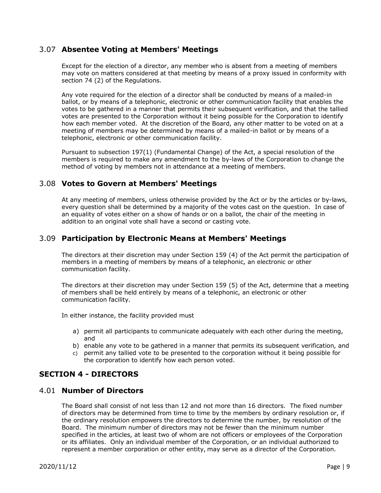#### <span id="page-8-0"></span>3.07 **Absentee Voting at Members' Meetings**

Except for the election of a director, any member who is absent from a meeting of members may vote on matters considered at that meeting by means of a proxy issued in conformity with section 74 (2) of the Regulations.

Any vote required for the election of a director shall be conducted by means of a mailed-in ballot, or by means of a telephonic, electronic or other communication facility that enables the votes to be gathered in a manner that permits their subsequent verification, and that the tallied votes are presented to the Corporation without it being possible for the Corporation to identify how each member voted. At the discretion of the Board, any other matter to be voted on at a meeting of members may be determined by means of a mailed-in ballot or by means of a telephonic, electronic or other communication facility.

Pursuant to subsection 197(1) (Fundamental Change) of the Act, a special resolution of the members is required to make any amendment to the by-laws of the Corporation to change the method of voting by members not in attendance at a meeting of members.

#### <span id="page-8-1"></span>3.08 **Votes to Govern at Members' Meetings**

At any meeting of members, unless otherwise provided by the Act or by the articles or by-laws, every question shall be determined by a majority of the votes cast on the question. In case of an equality of votes either on a show of hands or on a ballot, the chair of the meeting in addition to an original vote shall have a second or casting vote.

#### <span id="page-8-2"></span>3.09 **Participation by Electronic Means at Members' Meetings**

The directors at their discretion may under Section 159 (4) of the Act permit the participation of members in a meeting of members by means of a telephonic, an electronic or other communication facility.

The directors at their discretion may under Section 159 (5) of the Act, determine that a meeting of members shall be held entirely by means of a telephonic, an electronic or other communication facility.

In either instance, the facility provided must

- a) permit all participants to communicate adequately with each other during the meeting, and
- b) enable any vote to be gathered in a manner that permits its subsequent verification, and
- c) permit any tallied vote to be presented to the corporation without it being possible for the corporation to identify how each person voted.

#### <span id="page-8-3"></span>**SECTION 4 - DIRECTORS**

#### <span id="page-8-4"></span>4.01 **Number of Directors**

The Board shall consist of not less than 12 and not more than 16 directors. The fixed number of directors may be determined from time to time by the members by ordinary resolution or, if the ordinary resolution empowers the directors to determine the number, by resolution of the Board. The minimum number of directors may not be fewer than the minimum number specified in the articles, at least two of whom are not officers or employees of the Corporation or its affiliates. Only an individual member of the Corporation, or an individual authorized to represent a member corporation or other entity, may serve as a director of the Corporation.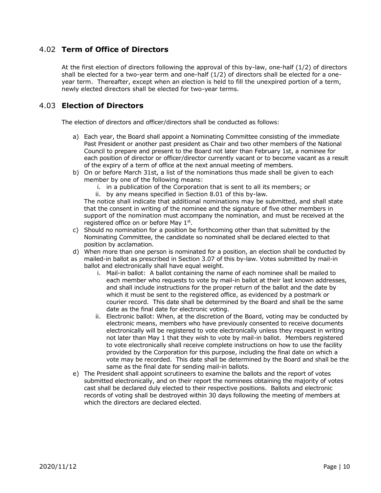## <span id="page-9-0"></span>4.02 **Term of Office of Directors**

At the first election of directors following the approval of this by-law, one-half (1/2) of directors shall be elected for a two-year term and one-half (1/2) of directors shall be elected for a oneyear term. Thereafter, except when an election is held to fill the unexpired portion of a term, newly elected directors shall be elected for two-year terms.

## <span id="page-9-1"></span>4.03 **Election of Directors**

The election of directors and officer/directors shall be conducted as follows:

- a) Each year, the Board shall appoint a Nominating Committee consisting of the immediate Past President or another past president as Chair and two other members of the National Council to prepare and present to the Board not later than February 1st, a nominee for each position of director or officer/director currently vacant or to become vacant as a result of the expiry of a term of office at the next annual meeting of members.
- b) On or before March 31st, a list of the nominations thus made shall be given to each member by one of the following means:
	- i. in a publication of the Corporation that is sent to all its members; or
	- ii. by any means specified in Section 8.01 of this by-law.

The notice shall indicate that additional nominations may be submitted, and shall state that the consent in writing of the nominee and the signature of five other members in support of the nomination must accompany the nomination, and must be received at the registered office on or before May  $1<sup>st</sup>$ .

- c) Should no nomination for a position be forthcoming other than that submitted by the Nominating Committee, the candidate so nominated shall be declared elected to that position by acclamation.
- d) When more than one person is nominated for a position, an election shall be conducted by mailed-in ballot as prescribed in Section 3.07 of this by-law. Votes submitted by mail-in ballot and electronically shall have equal weight.
	- i. Mail-in ballot: A ballot containing the name of each nominee shall be mailed to each member who requests to vote by mail-in ballot at their last known addresses, and shall include instructions for the proper return of the ballot and the date by which it must be sent to the registered office, as evidenced by a postmark or courier record. This date shall be determined by the Board and shall be the same date as the final date for electronic voting.
	- ii. Electronic ballot: When, at the discretion of the Board, voting may be conducted by electronic means, members who have previously consented to receive documents electronically will be registered to vote electronically unless they request in writing not later than May 1 that they wish to vote by mail-in ballot. Members registered to vote electronically shall receive complete instructions on how to use the facility provided by the Corporation for this purpose, including the final date on which a vote may be recorded. This date shall be determined by the Board and shall be the same as the final date for sending mail-in ballots.
- e) The President shall appoint scrutineers to examine the ballots and the report of votes submitted electronically, and on their report the nominees obtaining the majority of votes cast shall be declared duly elected to their respective positions. Ballots and electronic records of voting shall be destroyed within 30 days following the meeting of members at which the directors are declared elected.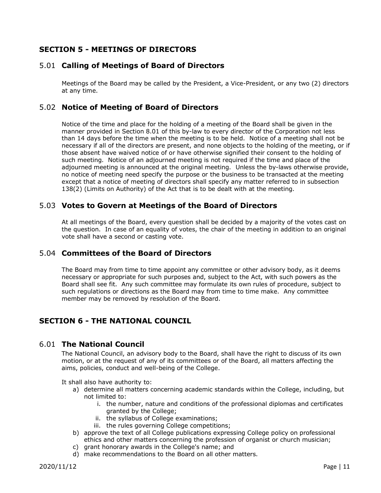## <span id="page-10-0"></span>**SECTION 5 - MEETINGS OF DIRECTORS**

## <span id="page-10-1"></span>5.01 **Calling of Meetings of Board of Directors**

Meetings of the Board may be called by the President, a Vice-President, or any two (2) directors at any time.

## <span id="page-10-2"></span>5.02 **Notice of Meeting of Board of Directors**

Notice of the time and place for the holding of a meeting of the Board shall be given in the manner provided in Section 8.01 of this by-law to every director of the Corporation not less than 14 days before the time when the meeting is to be held. Notice of a meeting shall not be necessary if all of the directors are present, and none objects to the holding of the meeting, or if those absent have waived notice of or have otherwise signified their consent to the holding of such meeting. Notice of an adjourned meeting is not required if the time and place of the adjourned meeting is announced at the original meeting. Unless the by-laws otherwise provide, no notice of meeting need specify the purpose or the business to be transacted at the meeting except that a notice of meeting of directors shall specify any matter referred to in subsection 138(2) (Limits on Authority) of the Act that is to be dealt with at the meeting.

#### <span id="page-10-3"></span>5.03 **Votes to Govern at Meetings of the Board of Directors**

At all meetings of the Board, every question shall be decided by a majority of the votes cast on the question. In case of an equality of votes, the chair of the meeting in addition to an original vote shall have a second or casting vote.

#### <span id="page-10-4"></span>5.04 **Committees of the Board of Directors**

The Board may from time to time appoint any committee or other advisory body, as it deems necessary or appropriate for such purposes and, subject to the Act, with such powers as the Board shall see fit. Any such committee may formulate its own rules of procedure, subject to such regulations or directions as the Board may from time to time make. Any committee member may be removed by resolution of the Board.

## <span id="page-10-5"></span>**SECTION 6 - THE NATIONAL COUNCIL**

#### <span id="page-10-6"></span>6.01 **The National Council**

The National Council, an advisory body to the Board, shall have the right to discuss of its own motion, or at the request of any of its committees or of the Board, all matters affecting the aims, policies, conduct and well-being of the College.

It shall also have authority to:

- a) determine all matters concerning academic standards within the College, including, but not limited to:
	- i. the number, nature and conditions of the professional diplomas and certificates granted by the College;
	- ii. the syllabus of College examinations;
	- iii. the rules governing College competitions;
- b) approve the text of all College publications expressing College policy on professional ethics and other matters concerning the profession of organist or church musician;
- c) grant honorary awards in the College's name; and
- d) make recommendations to the Board on all other matters.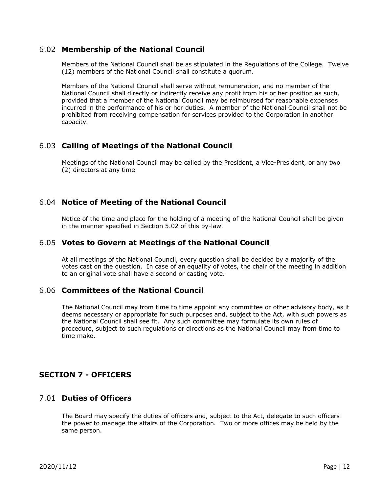#### <span id="page-11-0"></span>6.02 **Membership of the National Council**

Members of the National Council shall be as stipulated in the Regulations of the College. Twelve (12) members of the National Council shall constitute a quorum.

Members of the National Council shall serve without remuneration, and no member of the National Council shall directly or indirectly receive any profit from his or her position as such, provided that a member of the National Council may be reimbursed for reasonable expenses incurred in the performance of his or her duties. A member of the National Council shall not be prohibited from receiving compensation for services provided to the Corporation in another capacity.

## <span id="page-11-1"></span>6.03 **Calling of Meetings of the National Council**

Meetings of the National Council may be called by the President, a Vice-President, or any two (2) directors at any time.

## <span id="page-11-2"></span>6.04 **Notice of Meeting of the National Council**

Notice of the time and place for the holding of a meeting of the National Council shall be given in the manner specified in Section 5.02 of this by-law.

#### <span id="page-11-3"></span>6.05 **Votes to Govern at Meetings of the National Council**

At all meetings of the National Council, every question shall be decided by a majority of the votes cast on the question. In case of an equality of votes, the chair of the meeting in addition to an original vote shall have a second or casting vote.

#### <span id="page-11-4"></span>6.06 **Committees of the National Council**

The National Council may from time to time appoint any committee or other advisory body, as it deems necessary or appropriate for such purposes and, subject to the Act, with such powers as the National Council shall see fit. Any such committee may formulate its own rules of procedure, subject to such regulations or directions as the National Council may from time to time make.

## <span id="page-11-5"></span>**SECTION 7 - OFFICERS**

#### <span id="page-11-6"></span>7.01 **Duties of Officers**

The Board may specify the duties of officers and, subject to the Act, delegate to such officers the power to manage the affairs of the Corporation. Two or more offices may be held by the same person.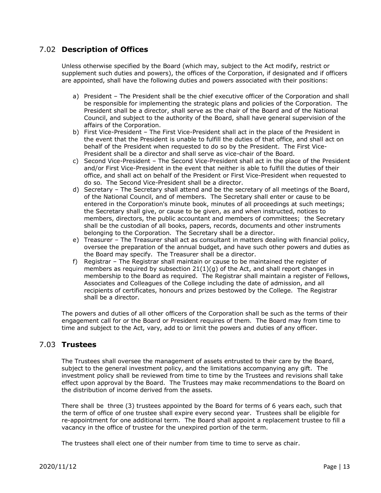## <span id="page-12-0"></span>7.02 **Description of Offices**

Unless otherwise specified by the Board (which may, subject to the Act modify, restrict or supplement such duties and powers), the offices of the Corporation, if designated and if officers are appointed, shall have the following duties and powers associated with their positions:

- a) President The President shall be the chief executive officer of the Corporation and shall be responsible for implementing the strategic plans and policies of the Corporation. The President shall be a director, shall serve as the chair of the Board and of the National Council, and subject to the authority of the Board, shall have general supervision of the affairs of the Corporation.
- b) First Vice-President The First Vice-President shall act in the place of the President in the event that the President is unable to fulfill the duties of that office, and shall act on behalf of the President when requested to do so by the President. The First Vice-President shall be a director and shall serve as vice-chair of the Board.
- c) Second Vice-President The Second Vice-President shall act in the place of the President and/or First Vice-President in the event that neither is able to fulfill the duties of their office, and shall act on behalf of the President or First Vice-President when requested to do so. The Second Vice-President shall be a director.
- d) Secretary The Secretary shall attend and be the secretary of all meetings of the Board, of the National Council, and of members. The Secretary shall enter or cause to be entered in the Corporation's minute book, minutes of all proceedings at such meetings; the Secretary shall give, or cause to be given, as and when instructed, notices to members, directors, the public accountant and members of committees; the Secretary shall be the custodian of all books, papers, records, documents and other instruments belonging to the Corporation. The Secretary shall be a director.
- e) Treasurer The Treasurer shall act as consultant in matters dealing with financial policy, oversee the preparation of the annual budget, and have such other powers and duties as the Board may specify. The Treasurer shall be a director.
- f) Registrar The Registrar shall maintain or cause to be maintained the register of members as required by subsection  $21(1)(q)$  of the Act, and shall report changes in membership to the Board as required. The Registrar shall maintain a register of Fellows, Associates and Colleagues of the College including the date of admission, and all recipients of certificates, honours and prizes bestowed by the College. The Registrar shall be a director.

The powers and duties of all other officers of the Corporation shall be such as the terms of their engagement call for or the Board or President requires of them. The Board may from time to time and subject to the Act, vary, add to or limit the powers and duties of any officer.

#### <span id="page-12-1"></span>7.03 **Trustees**

The Trustees shall oversee the management of assets entrusted to their care by the Board, subject to the general investment policy, and the limitations accompanying any gift. The investment policy shall be reviewed from time to time by the Trustees and revisions shall take effect upon approval by the Board. The Trustees may make recommendations to the Board on the distribution of income derived from the assets.

There shall be three (3) trustees appointed by the Board for terms of 6 years each, such that the term of office of one trustee shall expire every second year. Trustees shall be eligible for re-appointment for one additional term. The Board shall appoint a replacement trustee to fill a vacancy in the office of trustee for the unexpired portion of the term.

The trustees shall elect one of their number from time to time to serve as chair.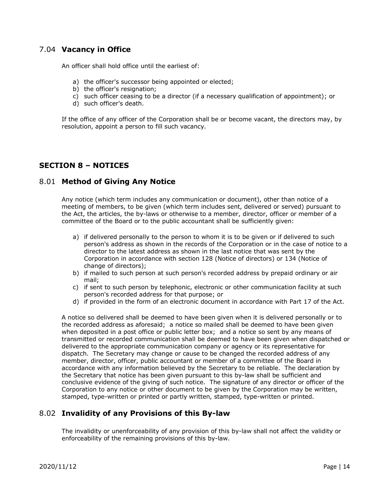#### <span id="page-13-0"></span>7.04 **Vacancy in Office**

An officer shall hold office until the earliest of:

- a) the officer's successor being appointed or elected;
- b) the officer's resignation;
- c) such officer ceasing to be a director (if a necessary qualification of appointment); or
- d) such officer's death.

If the office of any officer of the Corporation shall be or become vacant, the directors may, by resolution, appoint a person to fill such vacancy.

## <span id="page-13-1"></span>**SECTION 8 – NOTICES**

## <span id="page-13-2"></span>8.01 **Method of Giving Any Notice**

Any notice (which term includes any communication or document), other than notice of a meeting of members, to be given (which term includes sent, delivered or served) pursuant to the Act, the articles, the by-laws or otherwise to a member, director, officer or member of a committee of the Board or to the public accountant shall be sufficiently given:

- a) if delivered personally to the person to whom it is to be given or if delivered to such person's address as shown in the records of the Corporation or in the case of notice to a director to the latest address as shown in the last notice that was sent by the Corporation in accordance with section 128 (Notice of directors) or 134 (Notice of change of directors);
- b) if mailed to such person at such person's recorded address by prepaid ordinary or air mail;
- c) if sent to such person by telephonic, electronic or other communication facility at such person's recorded address for that purpose; or
- d) if provided in the form of an electronic document in accordance with Part 17 of the Act.

A notice so delivered shall be deemed to have been given when it is delivered personally or to the recorded address as aforesaid; a notice so mailed shall be deemed to have been given when deposited in a post office or public letter box; and a notice so sent by any means of transmitted or recorded communication shall be deemed to have been given when dispatched or delivered to the appropriate communication company or agency or its representative for dispatch. The Secretary may change or cause to be changed the recorded address of any member, director, officer, public accountant or member of a committee of the Board in accordance with any information believed by the Secretary to be reliable. The declaration by the Secretary that notice has been given pursuant to this by-law shall be sufficient and conclusive evidence of the giving of such notice. The signature of any director or officer of the Corporation to any notice or other document to be given by the Corporation may be written, stamped, type-written or printed or partly written, stamped, type-written or printed.

#### <span id="page-13-3"></span>8.02 **Invalidity of any Provisions of this By-law**

The invalidity or unenforceability of any provision of this by-law shall not affect the validity or enforceability of the remaining provisions of this by-law.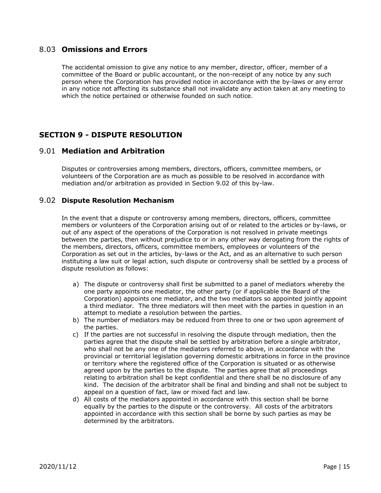#### <span id="page-14-0"></span>8.03 **Omissions and Errors**

The accidental omission to give any notice to any member, director, officer, member of a committee of the Board or public accountant, or the non-receipt of any notice by any such person where the Corporation has provided notice in accordance with the by-laws or any error in any notice not affecting its substance shall not invalidate any action taken at any meeting to which the notice pertained or otherwise founded on such notice.

## <span id="page-14-1"></span>**SECTION 9 - DISPUTE RESOLUTION**

#### <span id="page-14-2"></span>9.01 **Mediation and Arbitration**

Disputes or controversies among members, directors, officers, committee members, or volunteers of the Corporation are as much as possible to be resolved in accordance with mediation and/or arbitration as provided in Section 9.02 of this by-law.

#### <span id="page-14-3"></span>9.02 **Dispute Resolution Mechanism**

In the event that a dispute or controversy among members, directors, officers, committee members or volunteers of the Corporation arising out of or related to the articles or by-laws, or out of any aspect of the operations of the Corporation is not resolved in private meetings between the parties, then without prejudice to or in any other way derogating from the rights of the members, directors, officers, committee members, employees or volunteers of the Corporation as set out in the articles, by-laws or the Act, and as an alternative to such person instituting a law suit or legal action, such dispute or controversy shall be settled by a process of dispute resolution as follows:

- a) The dispute or controversy shall first be submitted to a panel of mediators whereby the one party appoints one mediator, the other party (or if applicable the Board of the Corporation) appoints one mediator, and the two mediators so appointed jointly appoint a third mediator. The three mediators will then meet with the parties in question in an attempt to mediate a resolution between the parties.
- b) The number of mediators may be reduced from three to one or two upon agreement of the parties.
- c) If the parties are not successful in resolving the dispute through mediation, then the parties agree that the dispute shall be settled by arbitration before a single arbitrator, who shall not be any one of the mediators referred to above, in accordance with the provincial or territorial legislation governing domestic arbitrations in force in the province or territory where the registered office of the Corporation is situated or as otherwise agreed upon by the parties to the dispute. The parties agree that all proceedings relating to arbitration shall be kept confidential and there shall be no disclosure of any kind. The decision of the arbitrator shall be final and binding and shall not be subject to appeal on a question of fact, law or mixed fact and law.
- d) All costs of the mediators appointed in accordance with this section shall be borne equally by the parties to the dispute or the controversy. All costs of the arbitrators appointed in accordance with this section shall be borne by such parties as may be determined by the arbitrators.